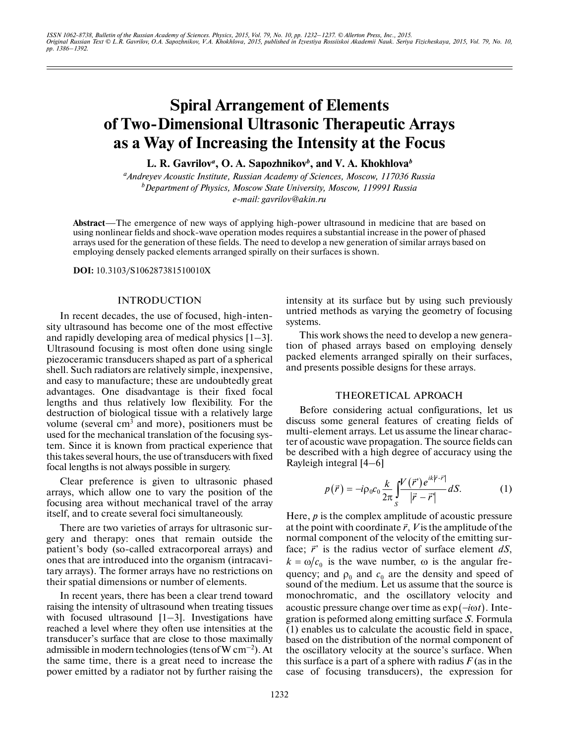*ISSN 1062-8738, Bulletin of the Russian Academy of Sciences. Physics, 2015, Vol. 79, No. 10, pp. 1232–1237. © Allerton Press, Inc., 2015. Original Russian Text © L.R. Gavrilov, O.A. Sapozhnikov, V.A. Khokhlova, 2015, published in Izvestiya Rossiiskoi Akademii Nauk. Seriya Fizicheskaya, 2015, Vol. 79, No. 10, pp. 1386–1392.*

# **Spiral Arrangement of Elements of Two-Dimensional Ultrasonic Therapeutic Arrays as a Way of Increasing the Intensity at the Focus**

**L. R. Gavrilov***<sup>a</sup>* **, O. A. Sapozhnikov***<sup>b</sup>* **, and V. A. Khokhlova***<sup>b</sup>*

*a Andreyev Acoustic Institute, Russian Academy of Sciences, Moscow, 117036 Russia b Department of Physics, Moscow State University, Moscow, 119991 Russia*

*e-mail: gavrilov@akin.ru*

**Abstract**—The emergence of new ways of applying high-power ultrasound in medicine that are based on using nonlinear fields and shock-wave operation modes requires a substantial increase in the power of phased arrays used for the generation of these fields. The need to develop a new generation of similar arrays based on employing densely packed elements arranged spirally on their surfaces is shown.

**DOI:** 10.3103/S106287381510010X

## INTRODUCTION

In recent decades, the use of focused, high-inten sity ultrasound has become one of the most effective and rapidly developing area of medical physics  $[1-3]$ . Ultrasound focusing is most often done using single piezoceramic transducers shaped as part of a spherical shell. Such radiators are relatively simple, inexpensive, and easy to manufacture; these are undoubtedly great advantages. One disadvantage is their fixed focal lengths and thus relatively low flexibility. For the destruction of biological tissue with a relatively large volume (several  $\text{cm}^3$  and more), positioners must be used for the mechanical translation of the focusing sys tem. Since it is known from practical experience that this takes several hours, the use of transducers with fixed focal lengths is not always possible in surgery.

Clear preference is given to ultrasonic phased arrays, which allow one to vary the position of the focusing area without mechanical travel of the array itself, and to create several foci simultaneously.

There are two varieties of arrays for ultrasonic sur gery and therapy: ones that remain outside the patient's body (so-called extracorporeal arrays) and ones that are introduced into the organism (intracavi tary arrays). The former arrays have no restrictions on their spatial dimensions or number of elements.

In recent years, there has been a clear trend toward raising the intensity of ultrasound when treating tissues with focused ultrasound  $[1-3]$ . Investigations have reached a level where they often use intensities at the transducer's surface that are close to those maximally admissible in modern technologies (tens of W  $cm^{-2}$ ). At the same time, there is a great need to increase the power emitted by a radiator not by further raising the intensity at its surface but by using such previously untried methods as varying the geometry of focusing systems.

This work shows the need to develop a new genera tion of phased arrays based on employing densely packed elements arranged spirally on their surfaces, and presents possible designs for these arrays.

#### THEORETICAL APROACH

Before considering actual configurations, let us discuss some general features of creating fields of multi-element arrays. Let us assume the linear charac ter of acoustic wave propagation. The source fields can be described with a high degree of accuracy using the Rayleigh integral [4–6]

$$
p(\vec{r}) = -i\rho_0 c_0 \frac{k}{2\pi} \int_S \frac{V(\vec{r}) e^{ik|\vec{r}-\vec{r}|}}{|\vec{r}-\vec{r}'|} dS.
$$
 (1)

Here, *p* is the complex amplitude of acoustic pressure at the point with coordinate  $\vec{r}$ ,  $\vec{V}$  is the amplitude of the normal component of the velocity of the emitting sur face;  $\vec{r}$  is the radius vector of surface element  $dS$ ,  $i\kappa = \omega/c_0$  is the wave number,  $\omega$  is the angular frequency; and  $\rho_0$  and  $c_0$  are the density and speed of sound of the medium. Let us assume that the source is monochromatic, and the oscillatory velocity and acoustic pressure change over time as  $\exp(-i\omega t)$ . Integration is peformed along emitting surface *S*. Formula (1) enables us to calculate the acoustic field in space, based on the distribution of the normal component of the oscillatory velocity at the source's surface. When this surface is a part of a sphere with radius  $F$  (as in the case of focusing transducers), the expression for the angula<br>ity and spe<br>that the sou<br>ry velocity<br>exp(-*i*ω*t*).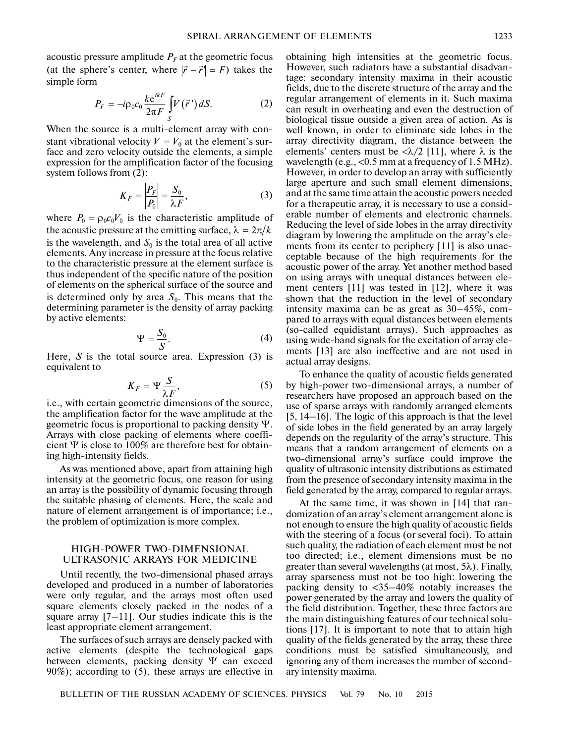acoustic pressure amplitude  $P_F$  at the geometric focus SPIRAL ARRANGE<br>
acoustic pressure amplitude  $P_F$  at the geometric focus<br>
(at the sphere's center, where  $|\vec{r} - \vec{r}'| = F$ ) takes the simple form

$$
P_F = -i\rho_0 c_0 \frac{k e^{ikF}}{2\pi F} \int_S V(\vec{r}\,') dS. \tag{2}
$$

When the source is a multi-element array with con stant vibrational velocity  $V = V_0$  at the element's surface and zero velocity outside the elements, a simple expression for the amplification factor of the focusing system follows from (2):  $V = V_0$ 

$$
K_F = \left| \frac{P_F}{P_0} \right| = \frac{S_0}{\lambda F},\tag{3}
$$

where  $P_0 = \rho_0 c_0 V_0$  is the characteristic amplitude of the acoustic pressure at the emitting surface,  $\lambda = 2\pi/k$ is the wavelength, and  $S_0$  is the total area of all active elements. Any increase in pressure at the focus relative to the characteristic pressure at the element surface is thus independent of the specific nature of the position of elements on the spherical surface of the source and is determined only by area  $S_0$ . This means that the determining parameter is the density of array packing by active elements:

$$
\Psi = \frac{S_0}{S}.\tag{4}
$$

Here, *S* is the total source area. Expression (3) is equivalent to

$$
K_F = \Psi \frac{S}{\lambda F},\tag{5}
$$

i.e., with certain geometric dimensions of the source, the amplification factor for the wave amplitude at the geometric focus is proportional to packing density Ψ. Arrays with close packing of elements where coeffi cient Ψ is close to 100% are therefore best for obtain ing high-intensity fields.

As was mentioned above, apart from attaining high intensity at the geometric focus, one reason for using an array is the possibility of dynamic focusing through the suitable phasing of elements. Here, the scale and nature of element arrangement is of importance; i.e., the problem of optimization is more complex.

## HIGH-POWER TWO-DIMENSIONAL ULTRASONIC ARRAYS FOR MEDICINE

Until recently, the two-dimensional phased arrays developed and produced in a number of laboratories were only regular, and the arrays most often used square elements closely packed in the nodes of a square array  $[7-11]$ . Our studies indicate this is the least appropriate element arrangement.

The surfaces of such arrays are densely packed with active elements (despite the technological gaps between elements, packing density  $\Psi$  can exceed 90%); according to (5), these arrays are effective in obtaining high intensities at the geometric focus. However, such radiators have a substantial disadvan tage: secondary intensity maxima in their acoustic fields, due to the discrete structure of the array and the regular arrangement of elements in it. Such maxima can result in overheating and even the destruction of biological tissue outside a given area of action. As is well known, in order to eliminate side lobes in the array directivity diagram, the distance between the elements' centers must be  $\langle \lambda/2 \rangle$  [11], where  $\lambda$  is the wavelength (e.g., <0.5 mm at a frequency of 1.5 MHz). However, in order to develop an array with sufficiently large aperture and such small element dimensions, and at the same time attain the acoustic powers needed for a therapeutic array, it is necessary to use a consid erable number of elements and electronic channels. Reducing the level of side lobes in the array directivity diagram by lowering the amplitude on the array's ele ments from its center to periphery [11] is also unac ceptable because of the high requirements for the acoustic power of the array. Yet another method based on using arrays with unequal distances between ele ment centers [11] was tested in [12], where it was shown that the reduction in the level of secondary intensity maxima can be as great as 30–45%, com pared to arrays with equal distances between elements (so-called equidistant arrays). Such approaches as using wide-band signals for the excitation of array ele ments [13] are also ineffective and are not used in actual array designs.

To enhance the quality of acoustic fields generated by high-power two-dimensional arrays, a number of researchers have proposed an approach based on the use of sparse arrays with randomly arranged elements [5, 14–16]. The logic of this approach is that the level of side lobes in the field generated by an array largely depends on the regularity of the array's structure. This means that a random arrangement of elements on a two-dimensional array's surface could improve the quality of ultrasonic intensity distributions as estimated from the presence of secondary intensity maxima in the field generated by the array, compared to regular arrays.

At the same time, it was shown in [14] that ran domization of an array's element arrangement alone is not enough to ensure the high quality of acoustic fields with the steering of a focus (or several foci). To attain such quality, the radiation of each element must be not too directed; i.e., element dimensions must be no greater than several wavelengths (at most,  $5\lambda$ ). Finally, array sparseness must not be too high: lowering the packing density to <35–40% notably increases the power generated by the array and lowers the quality of the field distribution. Together, these three factors are the main distinguishing features of our technical solu tions [17]. It is important to note that to attain high quality of the fields generated by the array, these three conditions must be satisfied simultaneously, and ignoring any of them increases the number of second ary intensity maxima.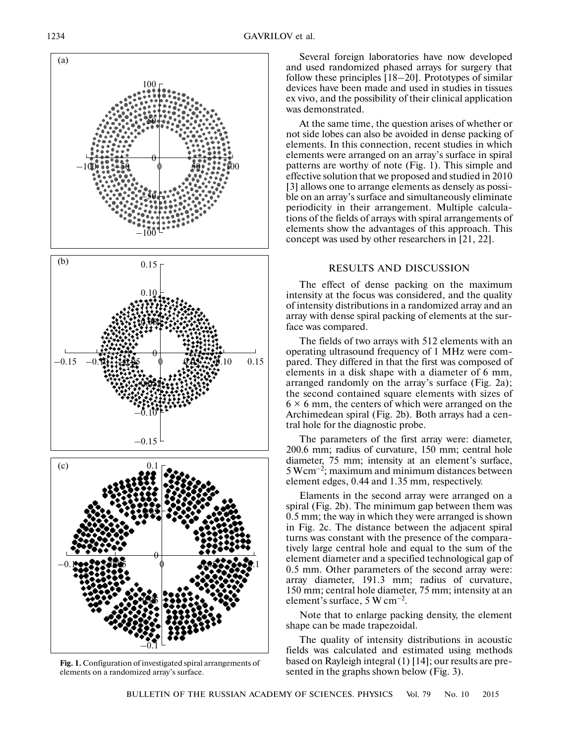

**Fig. 1.** Configuration of investigated spiral arrangements of elements on a randomized array's surface.

Several foreign laboratories have now developed and used randomized phased arrays for surgery that follow these principles [18–20]. Prototypes of similar devices have been made and used in studies in tissues ex vivo, and the possibility of their clinical application was demonstrated.

At the same time, the question arises of whether or not side lobes can also be avoided in dense packing of elements. In this connection, recent studies in which elements were arranged on an array's surface in spiral patterns are worthy of note (Fig. 1). This simple and effective solution that we proposed and studied in 2010 [3] allows one to arrange elements as densely as possi ble on an array's surface and simultaneously eliminate periodicity in their arrangement. Multiple calcula tions of the fields of arrays with spiral arrangements of elements show the advantages of this approach. This concept was used by other researchers in [21, 22].

# RESULTS AND DISCUSSION

The effect of dense packing on the maximum intensity at the focus was considered, and the quality of intensity distributions in a randomized array and an array with dense spiral packing of elements at the sur face was compared.

The fields of two arrays with 512 elements with an operating ultrasound frequency of 1 MHz were com pared. They differed in that the first was composed of elements in a disk shape with a diameter of 6 mm, arranged randomly on the array's surface (Fig. 2a); the second contained square elements with sizes of  $6 \times 6$  mm, the centers of which were arranged on the Archimedean spiral (Fig. 2b). Both arrays had a cen tral hole for the diagnostic probe.

The parameters of the first array were: diameter, 200.6 mm; radius of curvature, 150 mm; central hole diameter, 75 mm; intensity at an element's surface, 5 Wcm–2; maximum and minimum distances between element edges, 0.44 and 1.35 mm, respectively.

Elaments in the second array were arranged on a spiral (Fig. 2b). The minimum gap between them was 0.5 mm; the way in which they were arranged is shown in Fig. 2c. The distance between the adjacent spiral turns was constant with the presence of the compara tively large central hole and equal to the sum of the element diameter and a specified technological gap of 0.5 mm. Other parameters of the second array were: array diameter, 191.3 mm; radius of curvature, 150 mm; central hole diameter, 75 mm; intensity at an element's surface, 5 W cm–2.

Note that to enlarge packing density, the element shape can be made trapezoidal.

The quality of intensity distributions in acoustic fields was calculated and estimated using methods based on Rayleigh integral (1) [14]; our results are pre sented in the graphs shown below (Fig. 3).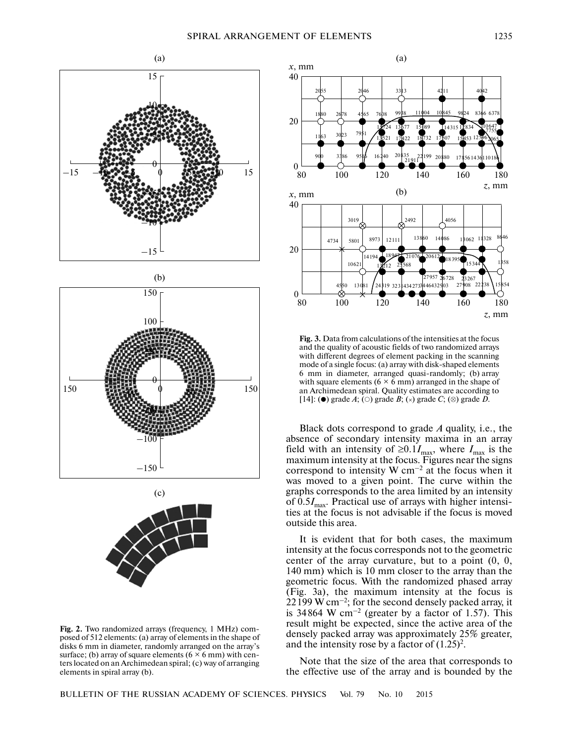





**Fig. 2.** Two randomized arrays (frequency, 1 MHz) com posed of 512 elements: (a) array of elements in the shape of disks 6 mm in diameter, randomly arranged on the array's surface; (b) array of square elements ( $6 \times 6$  mm) with centers located on an Archimedean spiral; (c) way of arranging elements in spiral array (b).



**Fig. 3.** Data from calculations of the intensities at the focus and the quality of acoustic fields of two randomized arrays with different degrees of element packing in the scanning mode of a single focus: (a) array with disk-shaped elements 6 mm in diameter, arranged quasi-randomly; (b) array with square elements ( $6 \times 6$  mm) arranged in the shape of an Archimedean spiral. Quality estimates are according to [14]: ( $\bullet$ ) grade *A*; ( $\circ$ ) grade *B*; ( $\times$ ) grade *C*; ( $\otimes$ ) grade *D*.

Black dots correspond to grade *A* quality, i.e., the absence of secondary intensity maxima in an array field with an intensity of  $\geq 0.1 I_{\text{max}}$ , where  $I_{\text{max}}$  is the maximum intensity at the focus. Figures near the signs correspond to intensity  $W$  cm<sup>-2</sup> at the focus when it was moved to a given point. The curve within the graphs corresponds to the area limited by an intensity of 0.5*I*max. Practical use of arrays with higher intensi ties at the focus is not advisable if the focus is moved outside this area.

It is evident that for both cases, the maximum intensity at the focus corresponds not to the geometric center of the array curvature, but to a point  $(0, 0, 0)$ 140 mm) which is 10 mm closer to the array than the geometric focus. With the randomized phased array (Fig. 3a), the maximum intensity at the focus is 22199 W cm<sup>-2</sup>; for the second densely packed array, it is 34864 W cm<sup>-2</sup> (greater by a factor of 1.57). This result might be expected, since the active area of the densely packed array was approximately 25% greater, and the intensity rose by a factor of  $(1.25)^2$ .

Note that the size of the area that corresponds to the effective use of the array and is bounded by the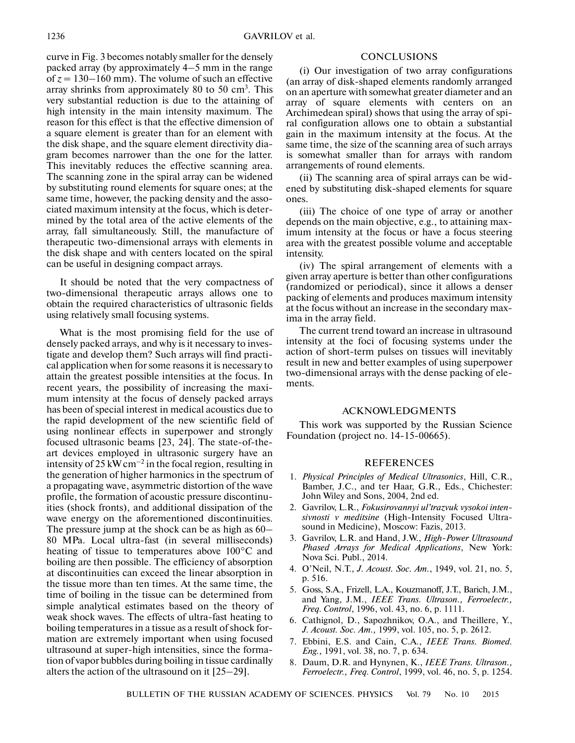curve in Fig. 3 becomes notably smaller for the densely packed array (by approximately 4–5 mm in the range of  $z = 130 - 160$  mm). The volume of such an effective array shrinks from approximately 80 to 50 cm<sup>3</sup>. This very substantial reduction is due to the attaining of high intensity in the main intensity maximum. The reason for this effect is that the effective dimension of a square element is greater than for an element with the disk shape, and the square element directivity dia gram becomes narrower than the one for the latter. This inevitably reduces the effective scanning area. The scanning zone in the spiral array can be widened by substituting round elements for square ones; at the same time, however, the packing density and the asso ciated maximum intensity at the focus, which is deter mined by the total area of the active elements of the array, fall simultaneously. Still, the manufacture of therapeutic two-dimensional arrays with elements in the disk shape and with centers located on the spiral can be useful in designing compact arrays.

It should be noted that the very compactness of two-dimensional therapeutic arrays allows one to obtain the required characteristics of ultrasonic fields using relatively small focusing systems.

What is the most promising field for the use of densely packed arrays, and why is it necessary to inves tigate and develop them? Such arrays will find practi cal application when for some reasons it is necessary to attain the greatest possible intensities at the focus. In recent years, the possibility of increasing the maxi mum intensity at the focus of densely packed arrays has been of special interest in medical acoustics due to the rapid development of the new scientific field of using nonlinear effects in superpower and strongly focused ultrasonic beams [23, 24]. The state-of-the art devices employed in ultrasonic surgery have an intensity of 25 kW cm<sup>-2</sup> in the focal region, resulting in the generation of higher harmonics in the spectrum of a propagating wave, asymmetric distortion of the wave profile, the formation of acoustic pressure discontinu ities (shock fronts), and additional dissipation of the wave energy on the aforementioned discontinuities. The pressure jump at the shock can be as high as 60– 80 MPa. Local ultra-fast (in several milliseconds) heating of tissue to temperatures above 100°С and boiling are then possible. The efficiency of absorption at discontinuities can exceed the linear absorption in the tissue more than ten times. At the same time, the time of boiling in the tissue can be determined from simple analytical estimates based on the theory of weak shock waves. The effects of ultra-fast heating to boiling temperatures in a tissue as a result of shock for mation are extremely important when using focused ultrasound at super-high intensities, since the forma tion of vapor bubbles during boiling in tissue cardinally alters the action of the ultrasound on it [25–29].

# **CONCLUSIONS**

(i) Our investigation of two array configurations (an array of disk-shaped elements randomly arranged on an aperture with somewhat greater diameter and an array of square elements with centers on an Archimedean spiral) shows that using the array of spi ral configuration allows one to obtain a substantial gain in the maximum intensity at the focus. At the same time, the size of the scanning area of such arrays is somewhat smaller than for arrays with random arrangements of round elements.

(ii) The scanning area of spiral arrays can be wid ened by substituting disk-shaped elements for square ones.

(iii) The choice of one type of array or another depends on the main objective, e.g., to attaining max imum intensity at the focus or have a focus steering area with the greatest possible volume and acceptable intensity.

(iv) The spiral arrangement of elements with a given array aperture is better than other configurations (randomized or periodical), since it allows a denser packing of elements and produces maximum intensity at the focus without an increase in the secondary max ima in the array field.

The current trend toward an increase in ultrasound intensity at the foci of focusing systems under the action of short-term pulses on tissues will inevitably result in new and better examples of using superpower two-dimensional arrays with the dense packing of ele ments.

#### ACKNOWLEDGMENTS

This work was supported by the Russian Science Foundation (project no. 14-15-00665).

### REFERENCES

- 1. *Physical Principles of Medical Ultrasonics*, Hill, C.R., Bamber, J.C., and ter Haar, G.R., Eds., Chichester: John Wiley and Sons, 2004, 2nd ed.
- 2. Gavrilov, L.R., *Fokusirovannyi ul'trazvuk vysokoi inten sivnosti v meditsine* (High-Intensity Focused Ultra sound in Medicine), Moscow: Fazis, 2013.
- 3. Gavrilov, L.R. and Hand, J.W., *High-Power Ultrasound Phased Arrays for Medical Applications*, New York: Nova Sci. Publ., 2014.
- 4. O'Neil, N.T., *J. Acoust. Soc. Am.*, 1949, vol. 21, no. 5, p. 516.
- 5. Goss, S.A., Frizell, L.A., Kouzmanoff, J.T., Barich, J.M., and Yang, J.M., *IEEE Trans. Ultrason., Ferroelectr., Freq. Control*, 1996, vol. 43, no. 6, p. 1111.
- 6. Cathignol, D., Sapozhnikov, O.A., and Theillere, Y., *J. Acoust. Soc. Am.,* 1999, vol. 105, no. 5, p. 2612.
- 7. Ebbini, E.S. and Cain, C.A., *IEEE Trans. Biomed. Eng.,* 1991, vol. 38, no. 7, p. 634.
- 8. Daum, D.R. and Hynynen, K., *IEEE Trans. Ultrason., Ferroelectr., Freq. Control*, 1999, vol. 46, no. 5, p. 1254.